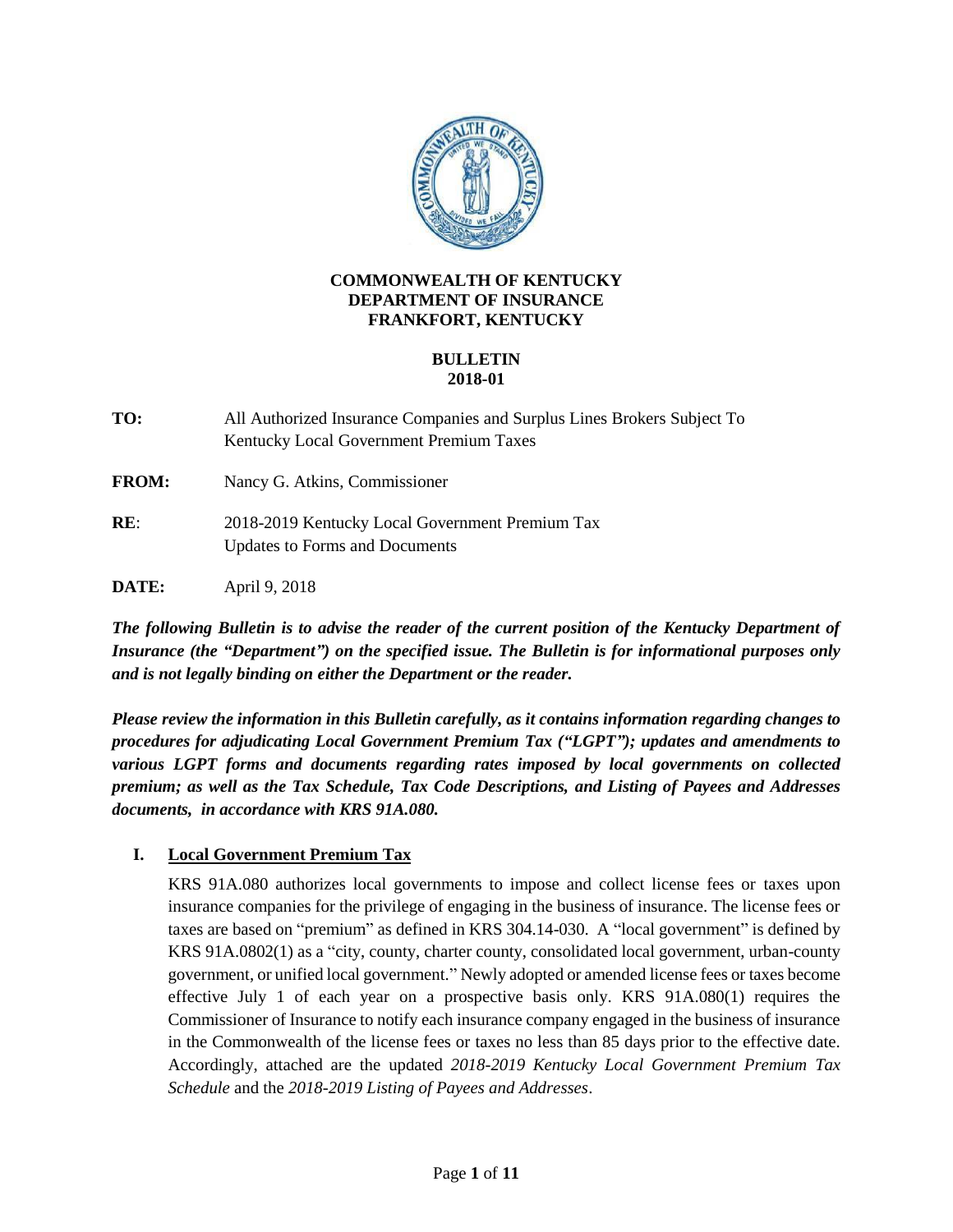

### **COMMONWEALTH OF KENTUCKY DEPARTMENT OF INSURANCE FRANKFORT, KENTUCKY**

# **BULLETIN 2018-01**

**TO:** All Authorized Insurance Companies and Surplus Lines Brokers Subject To Kentucky Local Government Premium Taxes

**FROM:** Nancy G. Atkins, Commissioner

**RE**: 2018-2019 Kentucky Local Government Premium Tax Updates to Forms and Documents

**DATE:** April 9, 2018

*The following Bulletin is to advise the reader of the current position of the Kentucky Department of Insurance (the "Department") on the specified issue. The Bulletin is for informational purposes only and is not legally binding on either the Department or the reader.*

*Please review the information in this Bulletin carefully, as it contains information regarding changes to procedures for adjudicating Local Government Premium Tax ("LGPT"); updates and amendments to various LGPT forms and documents regarding rates imposed by local governments on collected premium; as well as the Tax Schedule, Tax Code Descriptions, and Listing of Payees and Addresses documents, in accordance with KRS 91A.080.*

# **I. Local Government Premium Tax**

KRS 91A.080 authorizes local governments to impose and collect license fees or taxes upon insurance companies for the privilege of engaging in the business of insurance. The license fees or taxes are based on "premium" as defined in KRS 304.14-030. A "local government" is defined by KRS 91A.0802(1) as a "city, county, charter county, consolidated local government, urban-county government, or unified local government." Newly adopted or amended license fees or taxes become effective July 1 of each year on a prospective basis only. KRS 91A.080(1) requires the Commissioner of Insurance to notify each insurance company engaged in the business of insurance in the Commonwealth of the license fees or taxes no less than 85 days prior to the effective date. Accordingly, attached are the updated *2018-2019 Kentucky Local Government Premium Tax Schedule* and the *2018-2019 Listing of Payees and Addresses*.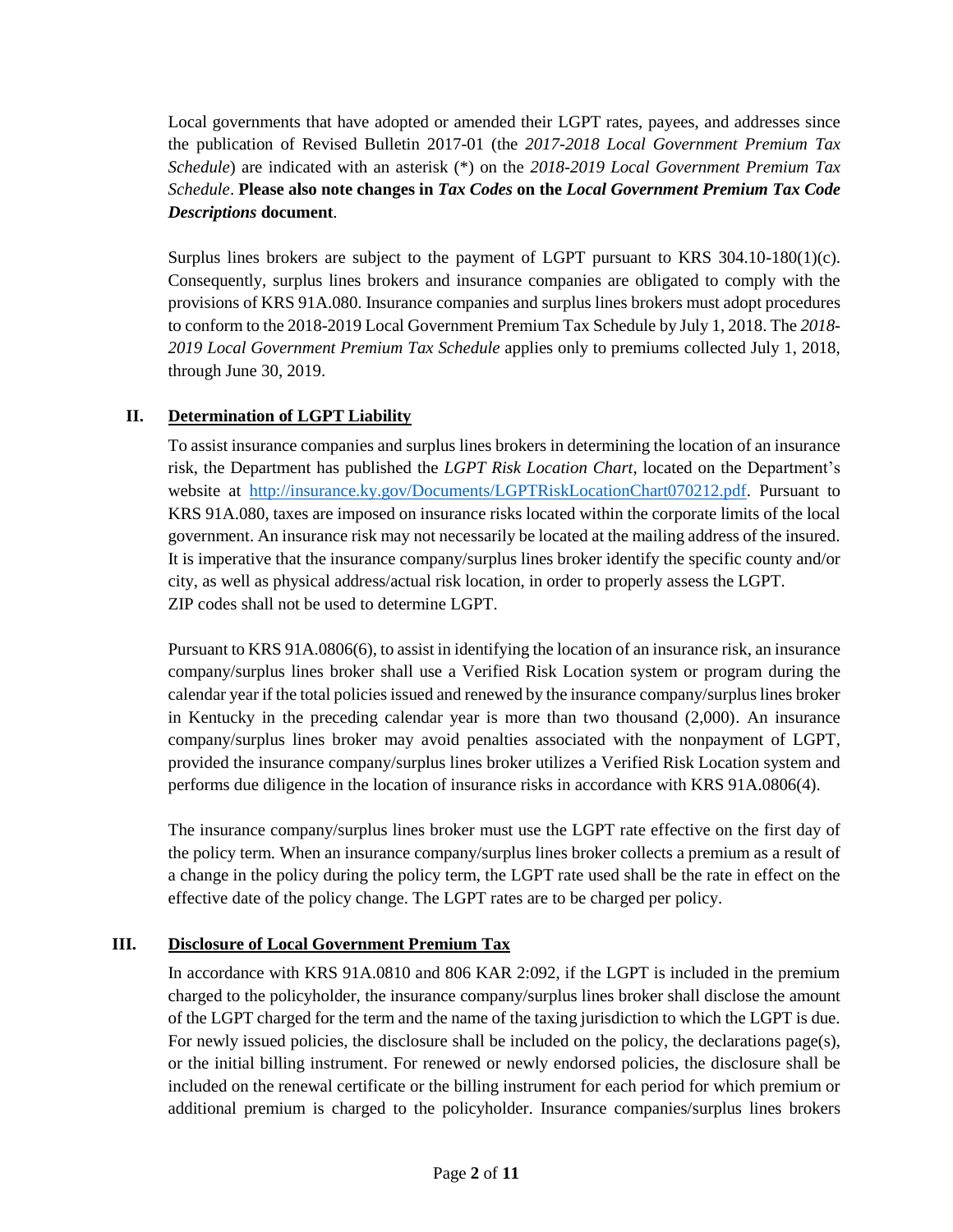Local governments that have adopted or amended their LGPT rates, payees, and addresses since the publication of Revised Bulletin 2017-01 (the *2017-2018 Local Government Premium Tax Schedule*) are indicated with an asterisk (\*) on the *2018-2019 Local Government Premium Tax Schedule*. **Please also note changes in** *Tax Codes* **on the** *Local Government Premium Tax Code Descriptions* **document***.*

Surplus lines brokers are subject to the payment of LGPT pursuant to KRS 304.10-180(1)(c). Consequently, surplus lines brokers and insurance companies are obligated to comply with the provisions of KRS 91A.080. Insurance companies and surplus lines brokers must adopt procedures to conform to the 2018-2019 Local Government Premium Tax Schedule by July 1, 2018. The *2018- 2019 Local Government Premium Tax Schedule* applies only to premiums collected July 1, 2018, through June 30, 2019.

# **II. Determination of LGPT Liability**

To assist insurance companies and surplus lines brokers in determining the location of an insurance risk, the Department has published the *LGPT Risk Location Chart*, located on the Department's website at [http://insurance.ky.gov/Documents/LGPTRiskLocationChart070212.pdf.](http://insurance.ky.gov/Documents/LGPTRiskLocationChart070212.pdf) Pursuant to KRS 91A.080, taxes are imposed on insurance risks located within the corporate limits of the local government. An insurance risk may not necessarily be located at the mailing address of the insured. It is imperative that the insurance company/surplus lines broker identify the specific county and/or city, as well as physical address/actual risk location, in order to properly assess the LGPT. ZIP codes shall not be used to determine LGPT.

Pursuant to KRS 91A.0806(6), to assist in identifying the location of an insurance risk, an insurance company/surplus lines broker shall use a Verified Risk Location system or program during the calendar year if the total policies issued and renewed by the insurance company/surplus lines broker in Kentucky in the preceding calendar year is more than two thousand (2,000). An insurance company/surplus lines broker may avoid penalties associated with the nonpayment of LGPT, provided the insurance company/surplus lines broker utilizes a Verified Risk Location system and performs due diligence in the location of insurance risks in accordance with KRS 91A.0806(4).

The insurance company/surplus lines broker must use the LGPT rate effective on the first day of the policy term. When an insurance company/surplus lines broker collects a premium as a result of a change in the policy during the policy term, the LGPT rate used shall be the rate in effect on the effective date of the policy change. The LGPT rates are to be charged per policy.

# **III. Disclosure of Local Government Premium Tax**

In accordance with KRS 91A.0810 and 806 KAR 2:092, if the LGPT is included in the premium charged to the policyholder, the insurance company/surplus lines broker shall disclose the amount of the LGPT charged for the term and the name of the taxing jurisdiction to which the LGPT is due. For newly issued policies, the disclosure shall be included on the policy, the declarations page(s), or the initial billing instrument. For renewed or newly endorsed policies, the disclosure shall be included on the renewal certificate or the billing instrument for each period for which premium or additional premium is charged to the policyholder. Insurance companies/surplus lines brokers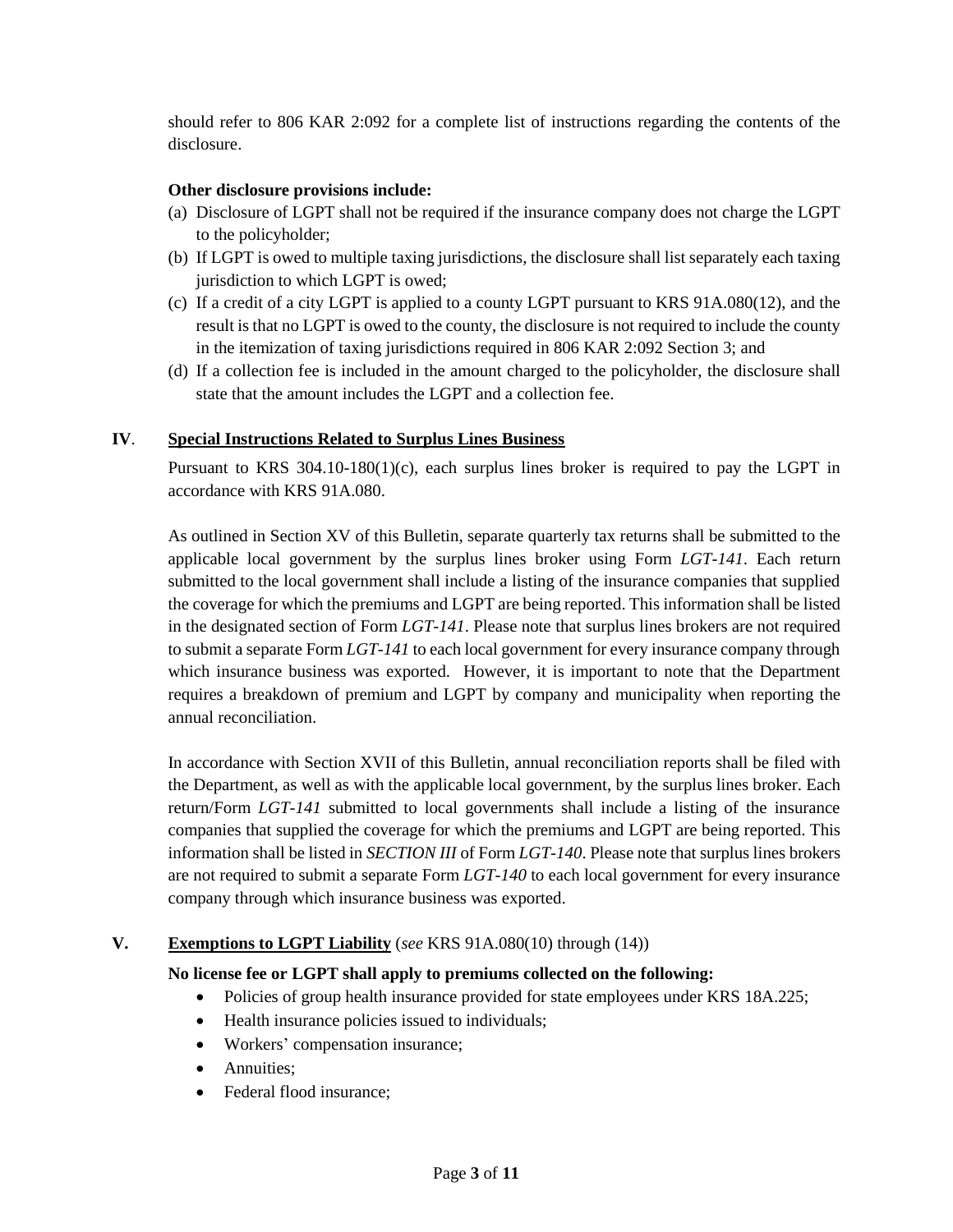should refer to 806 KAR 2:092 for a complete list of instructions regarding the contents of the disclosure.

# **Other disclosure provisions include:**

- (a) Disclosure of LGPT shall not be required if the insurance company does not charge the LGPT to the policyholder;
- (b) If LGPT is owed to multiple taxing jurisdictions, the disclosure shall list separately each taxing jurisdiction to which LGPT is owed;
- (c) If a credit of a city LGPT is applied to a county LGPT pursuant to KRS 91A.080(12), and the result is that no LGPT is owed to the county, the disclosure is not required to include the county in the itemization of taxing jurisdictions required in 806 KAR 2:092 Section 3; and
- (d) If a collection fee is included in the amount charged to the policyholder, the disclosure shall state that the amount includes the LGPT and a collection fee.

# **IV**. **Special Instructions Related to Surplus Lines Business**

Pursuant to KRS 304.10-180(1)(c), each surplus lines broker is required to pay the LGPT in accordance with KRS 91A.080.

As outlined in Section XV of this Bulletin, separate quarterly tax returns shall be submitted to the applicable local government by the surplus lines broker using Form *LGT-141*. Each return submitted to the local government shall include a listing of the insurance companies that supplied the coverage for which the premiums and LGPT are being reported. This information shall be listed in the designated section of Form *LGT-141*. Please note that surplus lines brokers are not required to submit a separate Form *LGT-141* to each local government for every insurance company through which insurance business was exported. However, it is important to note that the Department requires a breakdown of premium and LGPT by company and municipality when reporting the annual reconciliation.

In accordance with Section XVII of this Bulletin, annual reconciliation reports shall be filed with the Department, as well as with the applicable local government, by the surplus lines broker. Each return/Form *LGT-141* submitted to local governments shall include a listing of the insurance companies that supplied the coverage for which the premiums and LGPT are being reported. This information shall be listed in *SECTION III* of Form *LGT-140*. Please note that surplus lines brokers are not required to submit a separate Form *LGT-140* to each local government for every insurance company through which insurance business was exported.

### **V. Exemptions to LGPT Liability** (*see* KRS 91A.080(10) through (14))

# **No license fee or LGPT shall apply to premiums collected on the following:**

- Policies of group health insurance provided for state employees under KRS 18A.225;
- Health insurance policies issued to individuals;
- Workers' compensation insurance;
- Annuities:
- Federal flood insurance: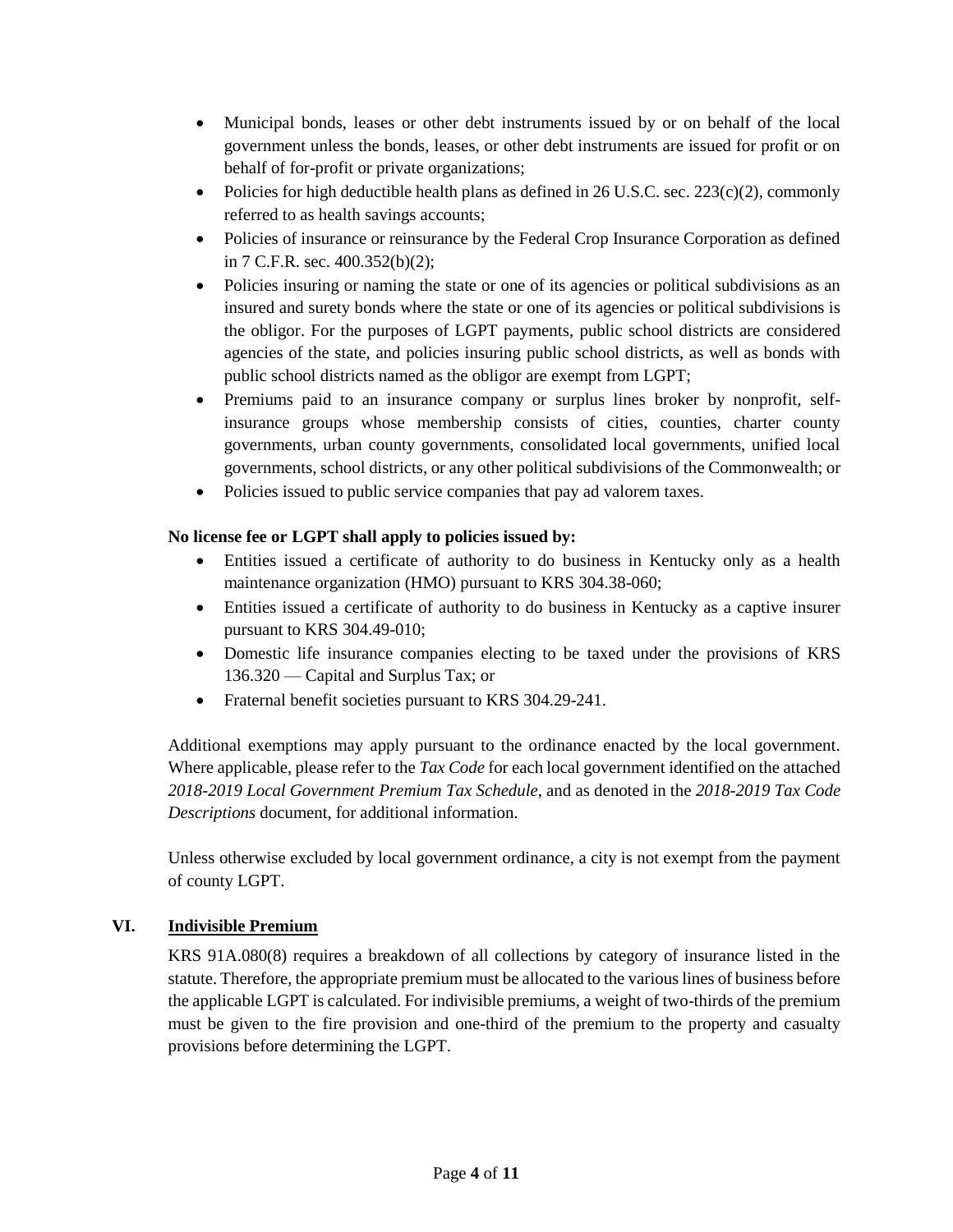- Municipal bonds, leases or other debt instruments issued by or on behalf of the local government unless the bonds, leases, or other debt instruments are issued for profit or on behalf of for-profit or private organizations;
- Policies for high deductible health plans as defined in 26 U.S.C. sec. 223(c)(2), commonly referred to as health savings accounts;
- Policies of insurance or reinsurance by the Federal Crop Insurance Corporation as defined in 7 C.F.R. sec. 400.352(b)(2);
- Policies insuring or naming the state or one of its agencies or political subdivisions as an insured and surety bonds where the state or one of its agencies or political subdivisions is the obligor. For the purposes of LGPT payments, public school districts are considered agencies of the state, and policies insuring public school districts, as well as bonds with public school districts named as the obligor are exempt from LGPT;
- Premiums paid to an insurance company or surplus lines broker by nonprofit, selfinsurance groups whose membership consists of cities, counties, charter county governments, urban county governments, consolidated local governments, unified local governments, school districts, or any other political subdivisions of the Commonwealth; or
- Policies issued to public service companies that pay ad valorem taxes.

# **No license fee or LGPT shall apply to policies issued by:**

- Entities issued a certificate of authority to do business in Kentucky only as a health maintenance organization (HMO) pursuant to KRS 304.38-060;
- Entities issued a certificate of authority to do business in Kentucky as a captive insurer pursuant to KRS 304.49-010;
- Domestic life insurance companies electing to be taxed under the provisions of KRS 136.320 — Capital and Surplus Tax; or
- Fraternal benefit societies pursuant to KRS 304.29-241.

Additional exemptions may apply pursuant to the ordinance enacted by the local government. Where applicable, please refer to the *Tax Code* for each local government identified on the attached *2018-2019 Local Government Premium Tax Schedule*, and as denoted in the *2018-2019 Tax Code Descriptions* document, for additional information.

Unless otherwise excluded by local government ordinance, a city is not exempt from the payment of county LGPT.

# **VI. Indivisible Premium**

KRS 91A.080(8) requires a breakdown of all collections by category of insurance listed in the statute. Therefore, the appropriate premium must be allocated to the various lines of business before the applicable LGPT is calculated. For indivisible premiums, a weight of two-thirds of the premium must be given to the fire provision and one-third of the premium to the property and casualty provisions before determining the LGPT.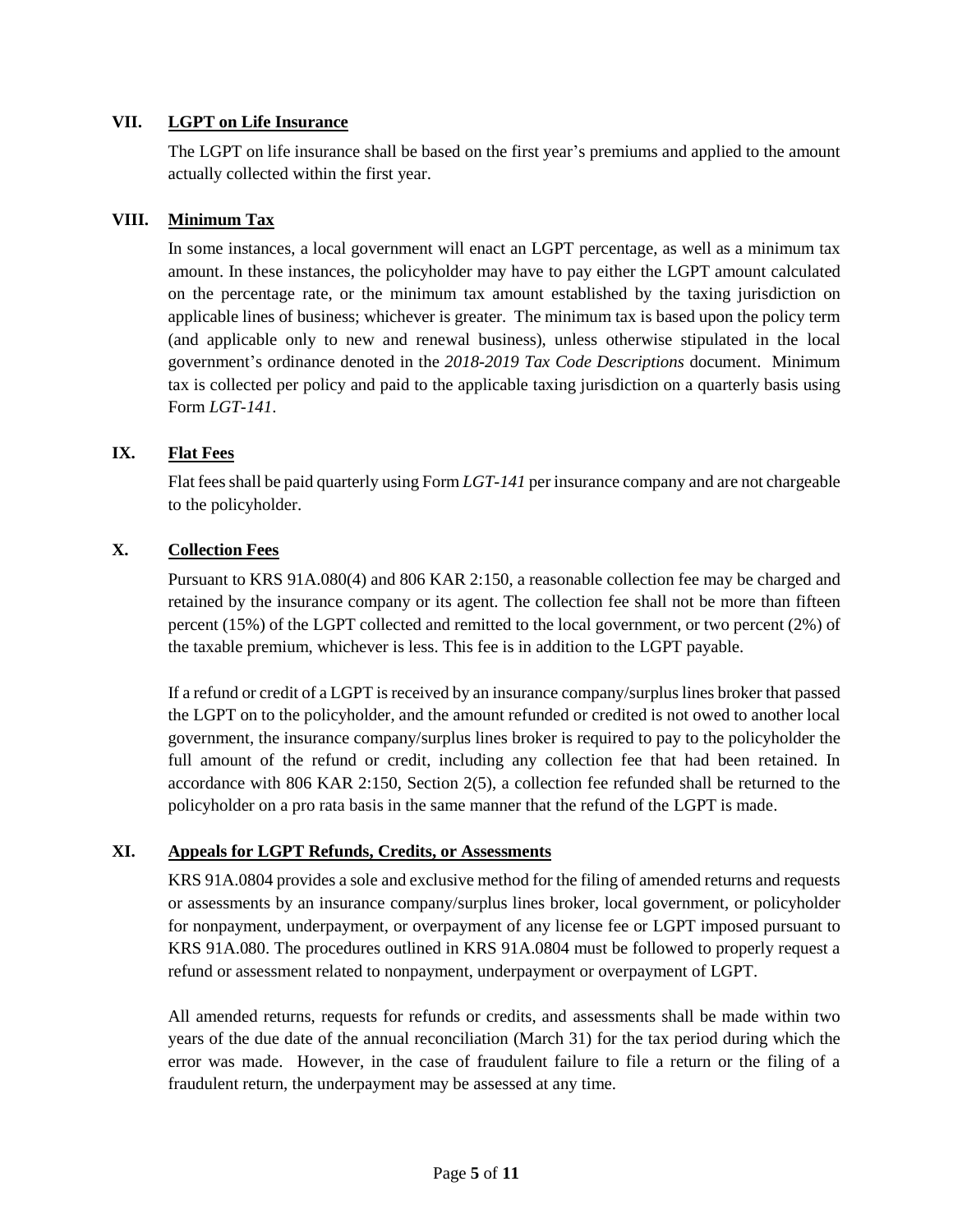# **VII. LGPT on Life Insurance**

The LGPT on life insurance shall be based on the first year's premiums and applied to the amount actually collected within the first year.

# **VIII. Minimum Tax**

In some instances, a local government will enact an LGPT percentage, as well as a minimum tax amount. In these instances, the policyholder may have to pay either the LGPT amount calculated on the percentage rate, or the minimum tax amount established by the taxing jurisdiction on applicable lines of business; whichever is greater. The minimum tax is based upon the policy term (and applicable only to new and renewal business), unless otherwise stipulated in the local government's ordinance denoted in the *2018-2019 Tax Code Descriptions* document. Minimum tax is collected per policy and paid to the applicable taxing jurisdiction on a quarterly basis using Form *LGT-141*.

# **IX. Flat Fees**

Flat fees shall be paid quarterly using Form *LGT-141* per insurance company and are not chargeable to the policyholder.

# **X. Collection Fees**

Pursuant to KRS 91A.080(4) and 806 KAR 2:150, a reasonable collection fee may be charged and retained by the insurance company or its agent. The collection fee shall not be more than fifteen percent (15%) of the LGPT collected and remitted to the local government, or two percent (2%) of the taxable premium, whichever is less. This fee is in addition to the LGPT payable.

If a refund or credit of a LGPT is received by an insurance company/surplus lines broker that passed the LGPT on to the policyholder, and the amount refunded or credited is not owed to another local government, the insurance company/surplus lines broker is required to pay to the policyholder the full amount of the refund or credit, including any collection fee that had been retained. In accordance with 806 KAR 2:150, Section 2(5), a collection fee refunded shall be returned to the policyholder on a pro rata basis in the same manner that the refund of the LGPT is made.

# **XI. Appeals for LGPT Refunds, Credits, or Assessments**

KRS 91A.0804 provides a sole and exclusive method for the filing of amended returns and requests or assessments by an insurance company/surplus lines broker, local government, or policyholder for nonpayment, underpayment, or overpayment of any license fee or LGPT imposed pursuant to KRS 91A.080. The procedures outlined in KRS 91A.0804 must be followed to properly request a refund or assessment related to nonpayment, underpayment or overpayment of LGPT.

All amended returns, requests for refunds or credits, and assessments shall be made within two years of the due date of the annual reconciliation (March 31) for the tax period during which the error was made. However, in the case of fraudulent failure to file a return or the filing of a fraudulent return, the underpayment may be assessed at any time.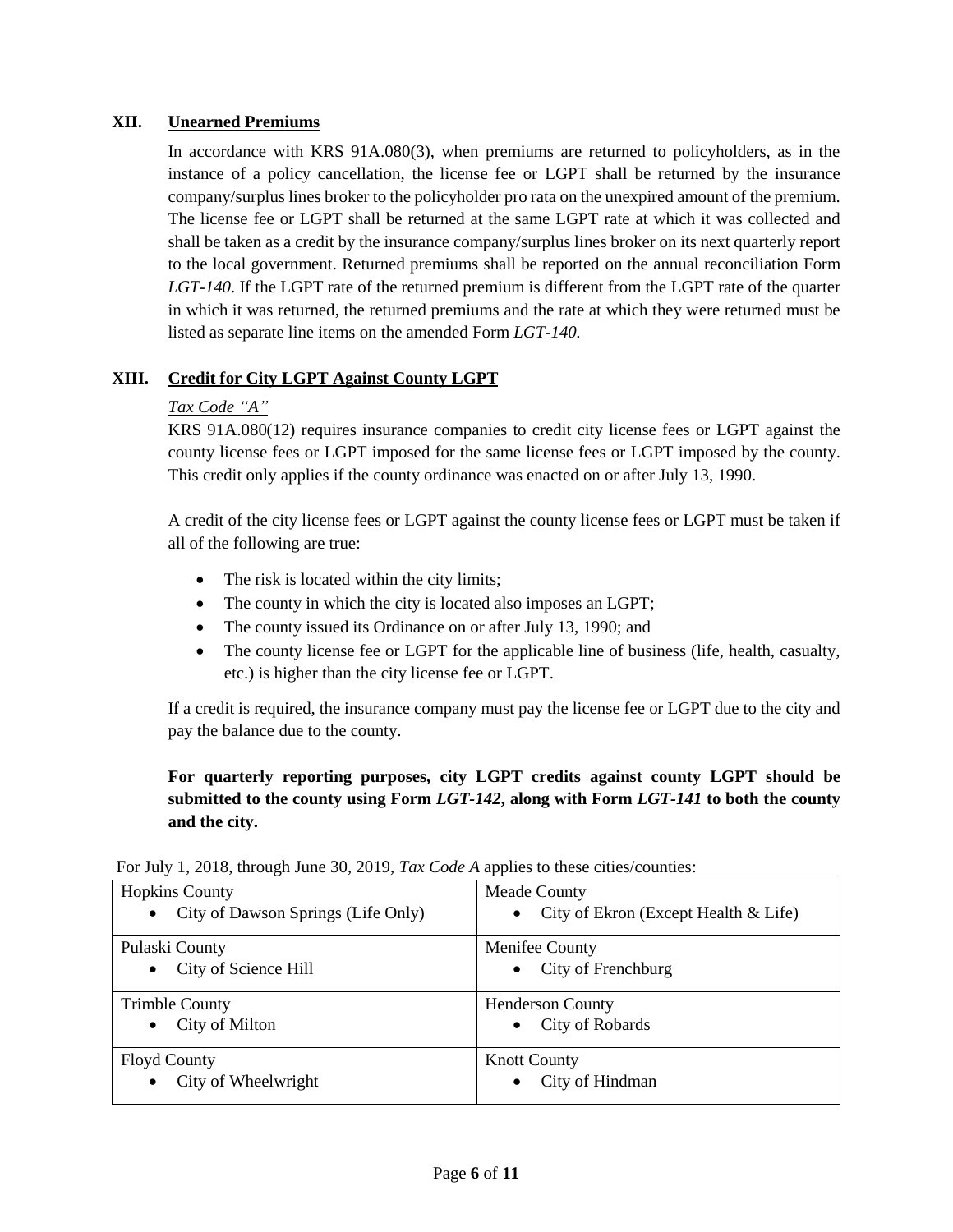# **XII. Unearned Premiums**

In accordance with KRS 91A.080(3), when premiums are returned to policyholders, as in the instance of a policy cancellation, the license fee or LGPT shall be returned by the insurance company/surplus lines broker to the policyholder pro rata on the unexpired amount of the premium. The license fee or LGPT shall be returned at the same LGPT rate at which it was collected and shall be taken as a credit by the insurance company/surplus lines broker on its next quarterly report to the local government. Returned premiums shall be reported on the annual reconciliation Form *LGT-140*. If the LGPT rate of the returned premium is different from the LGPT rate of the quarter in which it was returned, the returned premiums and the rate at which they were returned must be listed as separate line items on the amended Form *LGT-140.*

# **XIII. Credit for City LGPT Against County LGPT**

# *Tax Code "A"*

KRS 91A.080(12) requires insurance companies to credit city license fees or LGPT against the county license fees or LGPT imposed for the same license fees or LGPT imposed by the county. This credit only applies if the county ordinance was enacted on or after July 13, 1990.

A credit of the city license fees or LGPT against the county license fees or LGPT must be taken if all of the following are true:

- The risk is located within the city limits;
- The county in which the city is located also imposes an LGPT;
- The county issued its Ordinance on or after July 13, 1990; and
- The county license fee or LGPT for the applicable line of business (life, health, casualty, etc.) is higher than the city license fee or LGPT.

If a credit is required, the insurance company must pay the license fee or LGPT due to the city and pay the balance due to the county.

# **For quarterly reporting purposes, city LGPT credits against county LGPT should be submitted to the county using Form** *LGT-142***, along with Form** *LGT-141* **to both the county and the city.**

| <b>Hopkins County</b>                           | <b>Meade County</b>                      |
|-------------------------------------------------|------------------------------------------|
| City of Dawson Springs (Life Only)<br>$\bullet$ | • City of Ekron (Except Health $<$ Life) |
| Pulaski County                                  | Menifee County                           |
| City of Science Hill<br>$\bullet$               | City of Frenchburg<br>$\bullet$          |
| <b>Trimble County</b>                           | <b>Henderson County</b>                  |
| City of Milton<br>$\bullet$                     | City of Robards<br>$\bullet$             |
| <b>Floyd County</b>                             | <b>Knott County</b>                      |
| City of Wheelwright<br>$\bullet$                | City of Hindman<br>$\bullet$             |

For July 1, 2018, through June 30, 2019, *Tax Code A* applies to these cities/counties: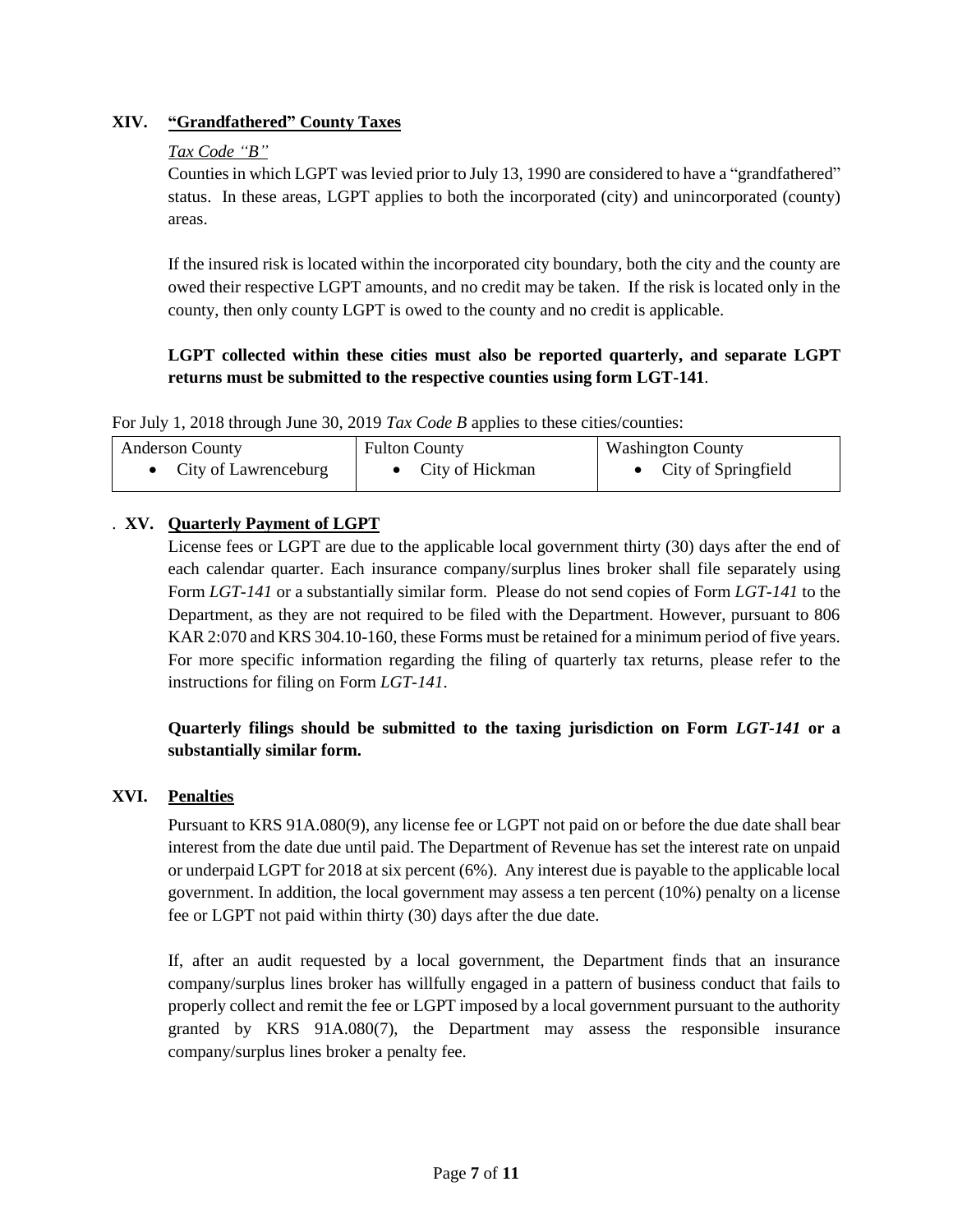# **XIV. "Grandfathered" County Taxes**

# *Tax Code "B"*

Counties in which LGPT was levied prior to July 13, 1990 are considered to have a "grandfathered" status. In these areas, LGPT applies to both the incorporated (city) and unincorporated (county) areas.

If the insured risk is located within the incorporated city boundary, both the city and the county are owed their respective LGPT amounts, and no credit may be taken. If the risk is located only in the county, then only county LGPT is owed to the county and no credit is applicable.

# **LGPT collected within these cities must also be reported quarterly, and separate LGPT returns must be submitted to the respective counties using form LGT-141**.

For July 1, 2018 through June 30, 2019 *Tax Code B* applies to these cities/counties:

| <b>Anderson County</b> | <b>Fulton County</b> | <b>Washington County</b> |
|------------------------|----------------------|--------------------------|
| City of Lawrenceburg   | • City of Hickman    | City of Springfield      |

# . **XV. Quarterly Payment of LGPT**

License fees or LGPT are due to the applicable local government thirty (30) days after the end of each calendar quarter. Each insurance company/surplus lines broker shall file separately using Form *LGT-141* or a substantially similar form. Please do not send copies of Form *LGT-141* to the Department, as they are not required to be filed with the Department. However, pursuant to 806 KAR 2:070 and KRS 304.10-160, these Forms must be retained for a minimum period of five years. For more specific information regarding the filing of quarterly tax returns, please refer to the instructions for filing on Form *LGT-141*.

# **Quarterly filings should be submitted to the taxing jurisdiction on Form** *LGT-141* **or a substantially similar form.**

# **XVI. Penalties**

Pursuant to KRS 91A.080(9), any license fee or LGPT not paid on or before the due date shall bear interest from the date due until paid. The Department of Revenue has set the interest rate on unpaid or underpaid LGPT for 2018 at six percent (6%). Any interest due is payable to the applicable local government. In addition, the local government may assess a ten percent (10%) penalty on a license fee or LGPT not paid within thirty (30) days after the due date.

If, after an audit requested by a local government, the Department finds that an insurance company/surplus lines broker has willfully engaged in a pattern of business conduct that fails to properly collect and remit the fee or LGPT imposed by a local government pursuant to the authority granted by KRS 91A.080(7), the Department may assess the responsible insurance company/surplus lines broker a penalty fee.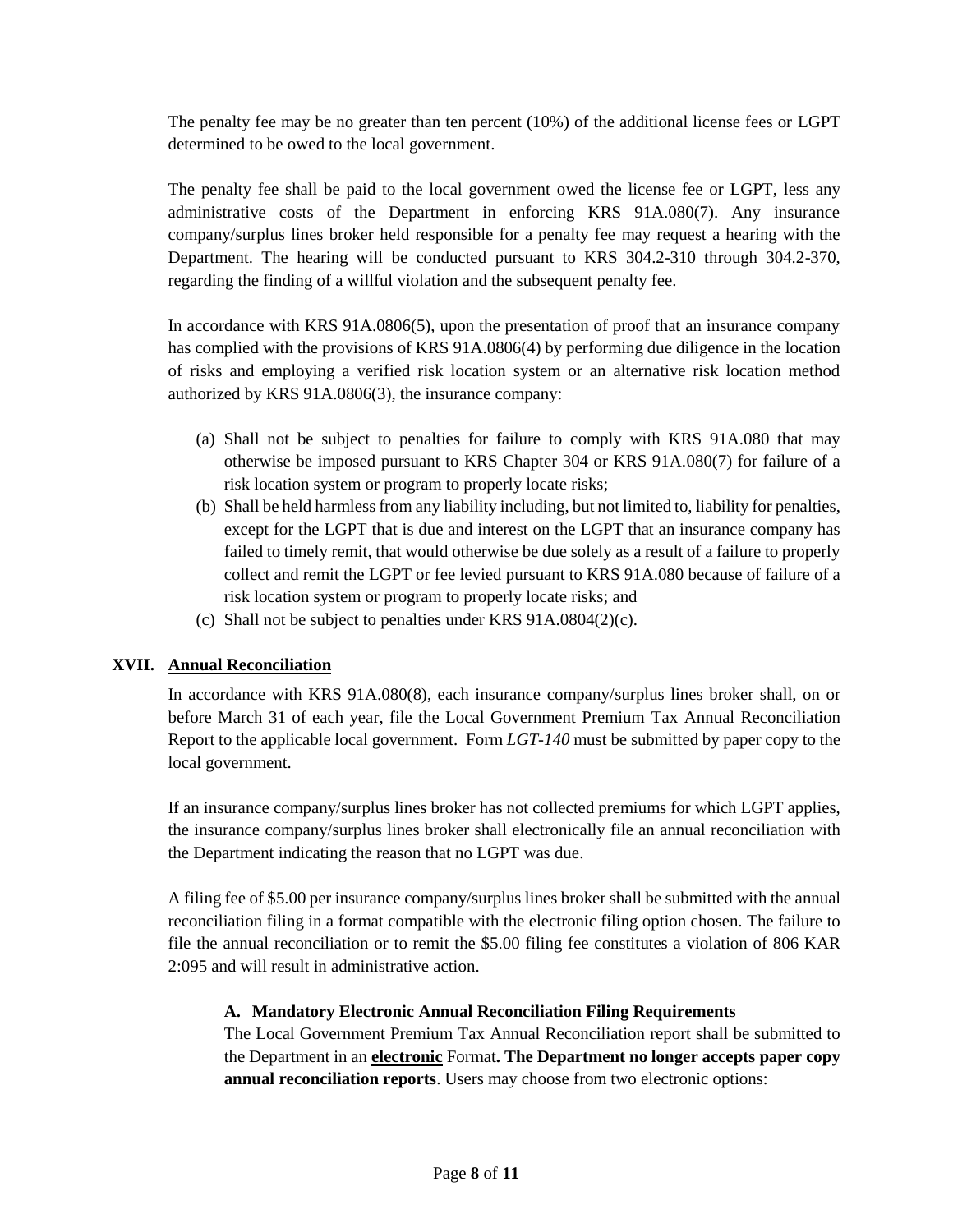The penalty fee may be no greater than ten percent (10%) of the additional license fees or LGPT determined to be owed to the local government.

The penalty fee shall be paid to the local government owed the license fee or LGPT, less any administrative costs of the Department in enforcing KRS 91A.080(7). Any insurance company/surplus lines broker held responsible for a penalty fee may request a hearing with the Department. The hearing will be conducted pursuant to KRS 304.2-310 through 304.2-370, regarding the finding of a willful violation and the subsequent penalty fee.

In accordance with KRS 91A.0806(5), upon the presentation of proof that an insurance company has complied with the provisions of KRS 91A.0806(4) by performing due diligence in the location of risks and employing a verified risk location system or an alternative risk location method authorized by KRS 91A.0806(3), the insurance company:

- (a) Shall not be subject to penalties for failure to comply with KRS 91A.080 that may otherwise be imposed pursuant to KRS Chapter 304 or KRS 91A.080(7) for failure of a risk location system or program to properly locate risks;
- (b) Shall be held harmless from any liability including, but not limited to, liability for penalties, except for the LGPT that is due and interest on the LGPT that an insurance company has failed to timely remit, that would otherwise be due solely as a result of a failure to properly collect and remit the LGPT or fee levied pursuant to KRS 91A.080 because of failure of a risk location system or program to properly locate risks; and
- (c) Shall not be subject to penalties under KRS 91A.0804(2)(c).

# **XVII. Annual Reconciliation**

In accordance with KRS 91A.080(8), each insurance company/surplus lines broker shall, on or before March 31 of each year, file the Local Government Premium Tax Annual Reconciliation Report to the applicable local government. Form *LGT-140* must be submitted by paper copy to the local government.

If an insurance company/surplus lines broker has not collected premiums for which LGPT applies, the insurance company/surplus lines broker shall electronically file an annual reconciliation with the Department indicating the reason that no LGPT was due.

A filing fee of \$5.00 per insurance company/surplus lines broker shall be submitted with the annual reconciliation filing in a format compatible with the electronic filing option chosen. The failure to file the annual reconciliation or to remit the \$5.00 filing fee constitutes a violation of 806 KAR 2:095 and will result in administrative action.

### **A. Mandatory Electronic Annual Reconciliation Filing Requirements**

The Local Government Premium Tax Annual Reconciliation report shall be submitted to the Department in an **electronic** Format**. The Department no longer accepts paper copy annual reconciliation reports**. Users may choose from two electronic options: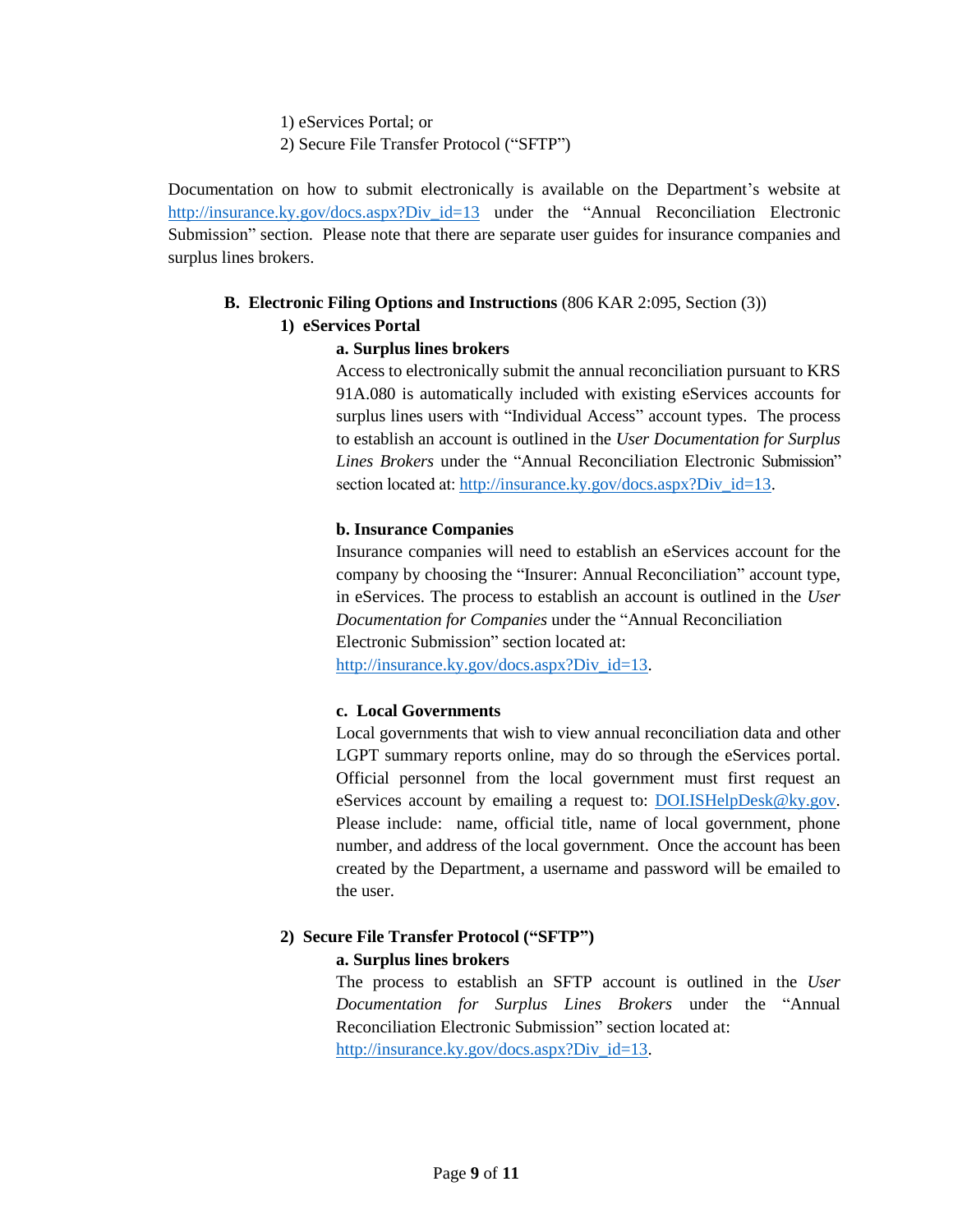- 1) eServices Portal; or
- 2) Secure File Transfer Protocol ("SFTP")

Documentation on how to submit electronically is available on the Department's website at [http://insurance.ky.gov/docs.aspx?Div\\_id=13](http://insurance.ky.gov/docs.aspx?Div_id=13) under the "Annual Reconciliation Electronic Submission" section. Please note that there are separate user guides for insurance companies and surplus lines brokers.

# **B. Electronic Filing Options and Instructions** (806 KAR 2:095, Section (3))

# **1) eServices Portal**

# **a. Surplus lines brokers**

Access to electronically submit the annual reconciliation pursuant to KRS 91A.080 is automatically included with existing eServices accounts for surplus lines users with "Individual Access" account types. The process to establish an account is outlined in the *User Documentation for Surplus Lines Brokers* under the "Annual Reconciliation Electronic Submission" section located at: [http://insurance.ky.gov/docs.aspx?Div\\_id=13.](http://insurance.ky.gov/docs.aspx?Div_id=13)

#### **b. Insurance Companies**

Insurance companies will need to establish an eServices account for the company by choosing the "Insurer: Annual Reconciliation" account type, in eServices. The process to establish an account is outlined in the *User Documentation for Companies* under the "Annual Reconciliation Electronic Submission" section located at:

[http://insurance.ky.gov/docs.aspx?Div\\_id=13.](http://insurance.ky.gov/docs.aspx?Div_id=13)

#### **c. Local Governments**

Local governments that wish to view annual reconciliation data and other LGPT summary reports online, may do so through the eServices portal. Official personnel from the local government must first request an eServices account by emailing a request to: DOLISHelpDesk@ky.gov. Please include: name, official title, name of local government, phone number, and address of the local government. Once the account has been created by the Department, a username and password will be emailed to the user.

# **2) Secure File Transfer Protocol ("SFTP")**

#### **a. Surplus lines brokers**

The process to establish an SFTP account is outlined in the *User Documentation for Surplus Lines Brokers* under the "Annual Reconciliation Electronic Submission" section located at: [http://insurance.ky.gov/docs.aspx?Div\\_id=13.](http://insurance.ky.gov/docs.aspx?Div_id=13)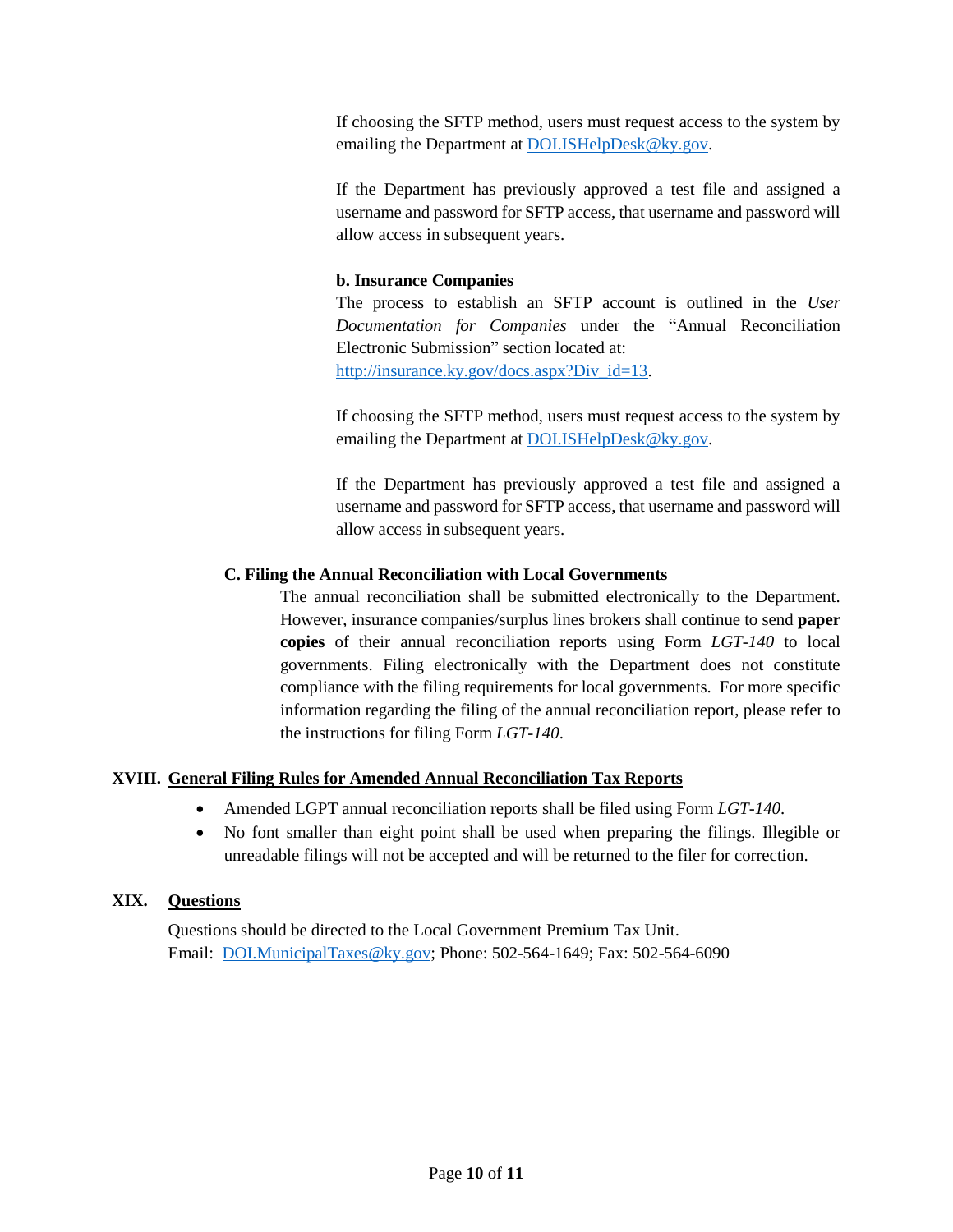If choosing the SFTP method, users must request access to the system by emailing the Department at **DOI.ISHelpDesk@ky.gov**.

If the Department has previously approved a test file and assigned a username and password for SFTP access, that username and password will allow access in subsequent years.

# **b. Insurance Companies**

The process to establish an SFTP account is outlined in the *User Documentation for Companies* under the "Annual Reconciliation Electronic Submission" section located at: [http://insurance.ky.gov/docs.aspx?Div\\_id=13.](http://insurance.ky.gov/docs.aspx?Div_id=13)

If choosing the SFTP method, users must request access to the system by emailing the Department at [DOI.ISHelpDesk@ky.gov.](mailto:DOI.ISHelpDesk@ky.gov)

If the Department has previously approved a test file and assigned a username and password for SFTP access, that username and password will allow access in subsequent years.

### **C. Filing the Annual Reconciliation with Local Governments**

The annual reconciliation shall be submitted electronically to the Department. However, insurance companies/surplus lines brokers shall continue to send **paper copies** of their annual reconciliation reports using Form *LGT-140* to local governments. Filing electronically with the Department does not constitute compliance with the filing requirements for local governments. For more specific information regarding the filing of the annual reconciliation report, please refer to the instructions for filing Form *LGT-140*.

### **XVIII. General Filing Rules for Amended Annual Reconciliation Tax Reports**

- Amended LGPT annual reconciliation reports shall be filed using Form *LGT-140*.
- No font smaller than eight point shall be used when preparing the filings. Illegible or unreadable filings will not be accepted and will be returned to the filer for correction.

### **XIX. Questions**

Questions should be directed to the Local Government Premium Tax Unit. Email: [DOI.MunicipalTaxes@ky.gov;](mailto:DOI.MunicipalTaxes@ky.gov) Phone: 502-564-1649; Fax: 502-564-6090